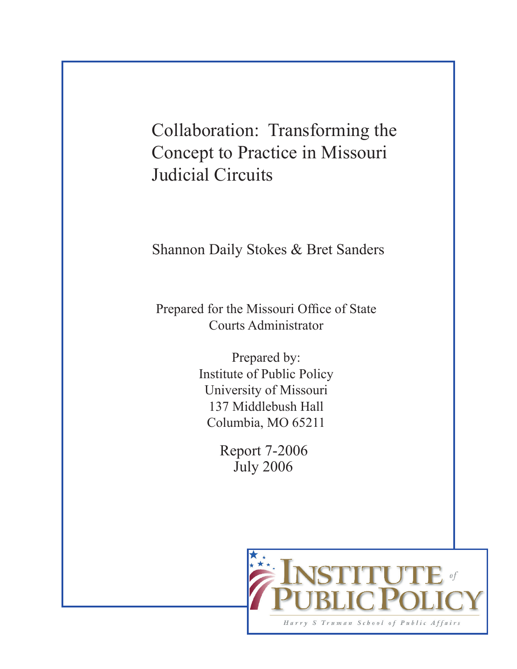Collaboration: Transforming the Concept to Practice in Missouri Judicial Circuits

Shannon Daily Stokes & Bret Sanders

Prepared for the Missouri Office of State Courts Administrator

> Prepared by: Institute of Public Policy University of Missouri 137 Middlebush Hall Columbia, MO 65211

> > Report 7-2006 July 2006

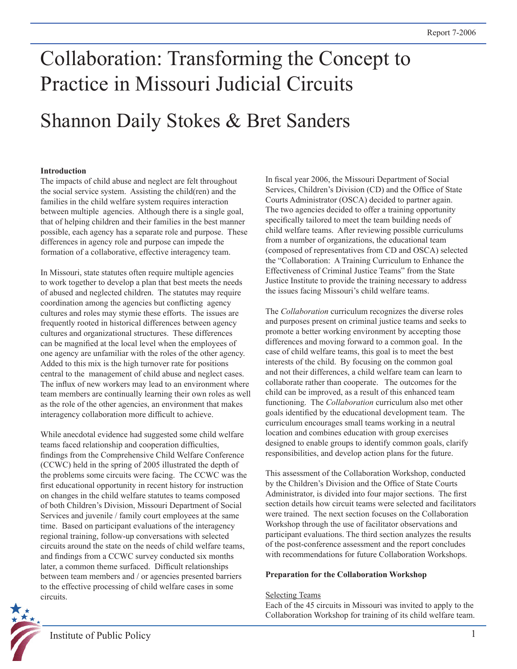# Collaboration: Transforming the Concept to Practice in Missouri Judicial Circuits

## Shannon Daily Stokes & Bret Sanders

#### **Introduction**

The impacts of child abuse and neglect are felt throughout the social service system. Assisting the child(ren) and the families in the child welfare system requires interaction between multiple agencies. Although there is a single goal, that of helping children and their families in the best manner possible, each agency has a separate role and purpose. These differences in agency role and purpose can impede the formation of a collaborative, effective interagency team.

In Missouri, state statutes often require multiple agencies to work together to develop a plan that best meets the needs of abused and neglected children. The statutes may require coordination among the agencies but conflicting agency cultures and roles may stymie these efforts. The issues are frequently rooted in historical differences between agency cultures and organizational structures. These differences can be magnified at the local level when the employees of one agency are unfamiliar with the roles of the other agency. Added to this mix is the high turnover rate for positions central to the management of child abuse and neglect cases. The influx of new workers may lead to an environment where team members are continually learning their own roles as well as the role of the other agencies, an environment that makes interagency collaboration more difficult to achieve.

While anecdotal evidence had suggested some child welfare teams faced relationship and cooperation difficulties, findings from the Comprehensive Child Welfare Conference (CCWC) held in the spring of 2005 illustrated the depth of the problems some circuits were facing. The CCWC was the first educational opportunity in recent history for instruction on changes in the child welfare statutes to teams composed of both Children's Division, Missouri Department of Social Services and juvenile / family court employees at the same time. Based on participant evaluations of the interagency regional training, follow-up conversations with selected circuits around the state on the needs of child welfare teams, and findings from a CCWC survey conducted six months later, a common theme surfaced. Difficult relationships between team members and / or agencies presented barriers to the effective processing of child welfare cases in some circuits.

In fiscal year 2006, the Missouri Department of Social Services, Children's Division (CD) and the Office of State Courts Administrator (OSCA) decided to partner again. The two agencies decided to offer a training opportunity specifically tailored to meet the team building needs of child welfare teams. After reviewing possible curriculums from a number of organizations, the educational team (composed of representatives from CD and OSCA) selected the "Collaboration: A Training Curriculum to Enhance the Effectiveness of Criminal Justice Teams" from the State Justice Institute to provide the training necessary to address the issues facing Missouri's child welfare teams.

The *Collaboration* curriculum recognizes the diverse roles and purposes present on criminal justice teams and seeks to promote a better working environment by accepting those differences and moving forward to a common goal. In the case of child welfare teams, this goal is to meet the best interests of the child. By focusing on the common goal and not their differences, a child welfare team can learn to collaborate rather than cooperate. The outcomes for the child can be improved, as a result of this enhanced team functioning. The *Collaboration* curriculum also met other goals identified by the educational development team. The curriculum encourages small teams working in a neutral location and combines education with group exercises designed to enable groups to identify common goals, clarify responsibilities, and develop action plans for the future.

This assessment of the Collaboration Workshop, conducted by the Children's Division and the Office of State Courts Administrator, is divided into four major sections. The first section details how circuit teams were selected and facilitators were trained. The next section focuses on the Collaboration Workshop through the use of facilitator observations and participant evaluations. The third section analyzes the results of the post-conference assessment and the report concludes with recommendations for future Collaboration Workshops.

#### **Preparation for the Collaboration Workshop**

#### Selecting Teams

Each of the 45 circuits in Missouri was invited to apply to the Collaboration Workshop for training of its child welfare team.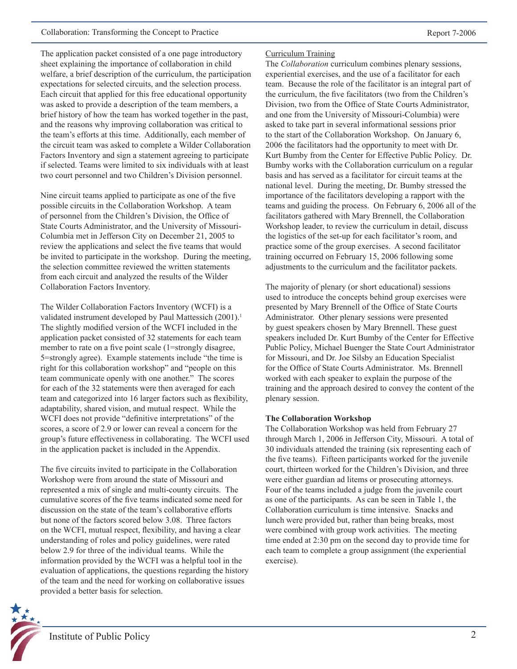The application packet consisted of a one page introductory sheet explaining the importance of collaboration in child welfare, a brief description of the curriculum, the participation expectations for selected circuits, and the selection process. Each circuit that applied for this free educational opportunity was asked to provide a description of the team members, a brief history of how the team has worked together in the past, and the reasons why improving collaboration was critical to the team's efforts at this time. Additionally, each member of the circuit team was asked to complete a Wilder Collaboration Factors Inventory and sign a statement agreeing to participate if selected. Teams were limited to six individuals with at least two court personnel and two Children's Division personnel.

Nine circuit teams applied to participate as one of the five possible circuits in the Collaboration Workshop. A team of personnel from the Children's Division, the Office of State Courts Administrator, and the University of Missouri-Columbia met in Jefferson City on December 21, 2005 to review the applications and select the five teams that would be invited to participate in the workshop. During the meeting, the selection committee reviewed the written statements from each circuit and analyzed the results of the Wilder Collaboration Factors Inventory.

The Wilder Collaboration Factors Inventory (WCFI) is a validated instrument developed by Paul Mattessich (2001).<sup>1</sup> The slightly modified version of the WCFI included in the application packet consisted of 32 statements for each team member to rate on a five point scale (1=strongly disagree, 5=strongly agree). Example statements include "the time is right for this collaboration workshop" and "people on this team communicate openly with one another." The scores for each of the 32 statements were then averaged for each team and categorized into 16 larger factors such as flexibility, adaptability, shared vision, and mutual respect. While the WCFI does not provide "definitive interpretations" of the scores, a score of 2.9 or lower can reveal a concern for the group's future effectiveness in collaborating. The WCFI used in the application packet is included in the Appendix.

The five circuits invited to participate in the Collaboration Workshop were from around the state of Missouri and represented a mix of single and multi-county circuits. The cumulative scores of the five teams indicated some need for discussion on the state of the team's collaborative efforts but none of the factors scored below 3.08. Three factors on the WCFI, mutual respect, flexibility, and having a clear understanding of roles and policy guidelines, were rated below 2.9 for three of the individual teams. While the information provided by the WCFI was a helpful tool in the evaluation of applications, the questions regarding the history of the team and the need for working on collaborative issues provided a better basis for selection.



#### Curriculum Training

The *Collaboration* curriculum combines plenary sessions, experiential exercises, and the use of a facilitator for each team. Because the role of the facilitator is an integral part of the curriculum, the five facilitators (two from the Children's Division, two from the Office of State Courts Administrator, and one from the University of Missouri-Columbia) were asked to take part in several informational sessions prior to the start of the Collaboration Workshop. On January 6, 2006 the facilitators had the opportunity to meet with Dr. Kurt Bumby from the Center for Effective Public Policy. Dr. Bumby works with the Collaboration curriculum on a regular basis and has served as a facilitator for circuit teams at the national level. During the meeting, Dr. Bumby stressed the importance of the facilitators developing a rapport with the teams and guiding the process. On February 6, 2006 all of the facilitators gathered with Mary Brennell, the Collaboration Workshop leader, to review the curriculum in detail, discuss the logistics of the set-up for each facilitator's room, and practice some of the group exercises. A second facilitator training occurred on February 15, 2006 following some adjustments to the curriculum and the facilitator packets.

The majority of plenary (or short educational) sessions used to introduce the concepts behind group exercises were presented by Mary Brennell of the Office of State Courts Administrator. Other plenary sessions were presented by guest speakers chosen by Mary Brennell. These guest speakers included Dr. Kurt Bumby of the Center for Effective Public Policy, Michael Buenger the State Court Administrator for Missouri, and Dr. Joe Silsby an Education Specialist for the Office of State Courts Administrator. Ms. Brennell worked with each speaker to explain the purpose of the training and the approach desired to convey the content of the plenary session.

#### **The Collaboration Workshop**

The Collaboration Workshop was held from February 27 through March 1, 2006 in Jefferson City, Missouri. A total of 30 individuals attended the training (six representing each of the five teams). Fifteen participants worked for the juvenile court, thirteen worked for the Children's Division, and three were either guardian ad litems or prosecuting attorneys. Four of the teams included a judge from the juvenile court as one of the participants. As can be seen in Table 1, the Collaboration curriculum is time intensive. Snacks and lunch were provided but, rather than being breaks, most were combined with group work activities. The meeting time ended at 2:30 pm on the second day to provide time for each team to complete a group assignment (the experiential exercise).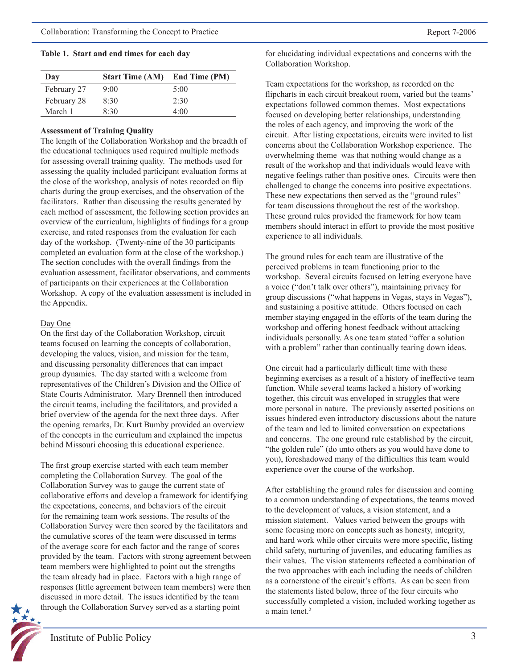#### **Table 1. Start and end times for each day**

| Day         | <b>Start Time (AM)</b> End Time (PM) |      |
|-------------|--------------------------------------|------|
| February 27 | 9:00                                 | 5:00 |
| February 28 | 8.30                                 | 2.30 |
| March 1     | 8.30                                 | 4:00 |

#### **Assessment of Training Quality**

The length of the Collaboration Workshop and the breadth of the educational techniques used required multiple methods for assessing overall training quality. The methods used for assessing the quality included participant evaluation forms at the close of the workshop, analysis of notes recorded on flip charts during the group exercises, and the observation of the facilitators. Rather than discussing the results generated by each method of assessment, the following section provides an overview of the curriculum, highlights of findings for a group exercise, and rated responses from the evaluation for each day of the workshop. (Twenty-nine of the 30 participants completed an evaluation form at the close of the workshop.) The section concludes with the overall findings from the evaluation assessment, facilitator observations, and comments of participants on their experiences at the Collaboration Workshop. A copy of the evaluation assessment is included in the Appendix.

#### Day One

On the first day of the Collaboration Workshop, circuit teams focused on learning the concepts of collaboration, developing the values, vision, and mission for the team, and discussing personality differences that can impact group dynamics. The day started with a welcome from representatives of the Children's Division and the Office of State Courts Administrator. Mary Brennell then introduced the circuit teams, including the facilitators, and provided a brief overview of the agenda for the next three days. After the opening remarks, Dr. Kurt Bumby provided an overview of the concepts in the curriculum and explained the impetus behind Missouri choosing this educational experience.

The first group exercise started with each team member completing the Collaboration Survey. The goal of the Collaboration Survey was to gauge the current state of collaborative efforts and develop a framework for identifying the expectations, concerns, and behaviors of the circuit for the remaining team work sessions. The results of the Collaboration Survey were then scored by the facilitators and the cumulative scores of the team were discussed in terms of the average score for each factor and the range of scores provided by the team. Factors with strong agreement between team members were highlighted to point out the strengths the team already had in place. Factors with a high range of responses (little agreement between team members) were then discussed in more detail. The issues identified by the team through the Collaboration Survey served as a starting point



for elucidating individual expectations and concerns with the Collaboration Workshop.

Team expectations for the workshop, as recorded on the flipcharts in each circuit breakout room, varied but the teams' expectations followed common themes. Most expectations focused on developing better relationships, understanding the roles of each agency, and improving the work of the circuit. After listing expectations, circuits were invited to list concerns about the Collaboration Workshop experience. The overwhelming theme was that nothing would change as a result of the workshop and that individuals would leave with negative feelings rather than positive ones. Circuits were then challenged to change the concerns into positive expectations. These new expectations then served as the "ground rules" for team discussions throughout the rest of the workshop. These ground rules provided the framework for how team members should interact in effort to provide the most positive experience to all individuals.

The ground rules for each team are illustrative of the perceived problems in team functioning prior to the workshop. Several circuits focused on letting everyone have a voice ("don't talk over others"), maintaining privacy for group discussions ("what happens in Vegas, stays in Vegas"), and sustaining a positive attitude. Others focused on each member staying engaged in the efforts of the team during the workshop and offering honest feedback without attacking individuals personally. As one team stated "offer a solution with a problem" rather than continually tearing down ideas.

One circuit had a particularly difficult time with these beginning exercises as a result of a history of ineffective team function. While several teams lacked a history of working together, this circuit was enveloped in struggles that were more personal in nature. The previously asserted positions on issues hindered even introductory discussions about the nature of the team and led to limited conversation on expectations and concerns. The one ground rule established by the circuit, "the golden rule" (do unto others as you would have done to you), foreshadowed many of the difficulties this team would experience over the course of the workshop.

After establishing the ground rules for discussion and coming to a common understanding of expectations, the teams moved to the development of values, a vision statement, and a mission statement. Values varied between the groups with some focusing more on concepts such as honesty, integrity, and hard work while other circuits were more specific, listing child safety, nurturing of juveniles, and educating families as their values. The vision statements reflected a combination of the two approaches with each including the needs of children as a cornerstone of the circuit's efforts. As can be seen from the statements listed below, three of the four circuits who successfully completed a vision, included working together as a main tenet.<sup>2</sup>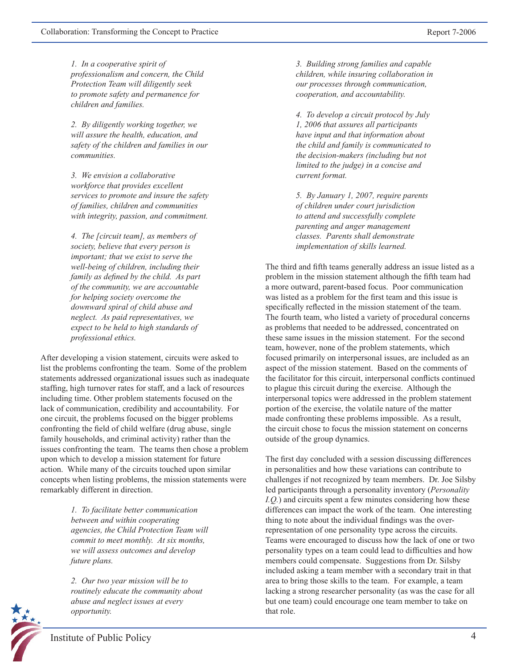*1. In a cooperative spirit of professionalism and concern, the Child Protection Team will diligently seek to promote safety and permanence for children and families.* 

*2. By diligently working together, we will assure the health, education, and safety of the children and families in our communities.* 

*3. We envision a collaborative workforce that provides excellent services to promote and insure the safety of families, children and communities with integrity, passion, and commitment.*

*4. The [circuit team], as members of society, believe that every person is important; that we exist to serve the well-being of children, including their family as defined by the child. As part of the community, we are accountable for helping society overcome the downward spiral of child abuse and neglect. As paid representatives, we expect to be held to high standards of professional ethics.* 

After developing a vision statement, circuits were asked to list the problems confronting the team. Some of the problem statements addressed organizational issues such as inadequate staffing, high turnover rates for staff, and a lack of resources including time. Other problem statements focused on the lack of communication, credibility and accountability. For one circuit, the problems focused on the bigger problems confronting the field of child welfare (drug abuse, single family households, and criminal activity) rather than the issues confronting the team. The teams then chose a problem upon which to develop a mission statement for future action. While many of the circuits touched upon similar concepts when listing problems, the mission statements were remarkably different in direction.

> *1. To facilitate better communication between and within cooperating agencies, the Child Protection Team will commit to meet monthly. At six months, we will assess outcomes and develop future plans.*

*2. Our two year mission will be to routinely educate the community about abuse and neglect issues at every opportunity.*

*3. Building strong families and capable children, while insuring collaboration in our processes through communication, cooperation, and accountability.*

*4. To develop a circuit protocol by July 1, 2006 that assures all participants have input and that information about the child and family is communicated to the decision-makers (including but not limited to the judge) in a concise and current format.*

*5. By January 1, 2007, require parents of children under court jurisdiction to attend and successfully complete parenting and anger management classes. Parents shall demonstrate implementation of skills learned.*

The third and fifth teams generally address an issue listed as a problem in the mission statement although the fifth team had a more outward, parent-based focus. Poor communication was listed as a problem for the first team and this issue is specifically reflected in the mission statement of the team. The fourth team, who listed a variety of procedural concerns as problems that needed to be addressed, concentrated on these same issues in the mission statement. For the second team, however, none of the problem statements, which focused primarily on interpersonal issues, are included as an aspect of the mission statement. Based on the comments of the facilitator for this circuit, interpersonal conflicts continued to plague this circuit during the exercise. Although the interpersonal topics were addressed in the problem statement portion of the exercise, the volatile nature of the matter made confronting these problems impossible. As a result, the circuit chose to focus the mission statement on concerns outside of the group dynamics.

The first day concluded with a session discussing differences in personalities and how these variations can contribute to challenges if not recognized by team members. Dr. Joe Silsby led participants through a personality inventory (*Personality I.Q.*) and circuits spent a few minutes considering how these differences can impact the work of the team. One interesting thing to note about the individual findings was the overrepresentation of one personality type across the circuits. Teams were encouraged to discuss how the lack of one or two personality types on a team could lead to difficulties and how members could compensate. Suggestions from Dr. Silsby included asking a team member with a secondary trait in that area to bring those skills to the team. For example, a team lacking a strong researcher personality (as was the case for all but one team) could encourage one team member to take on that role.

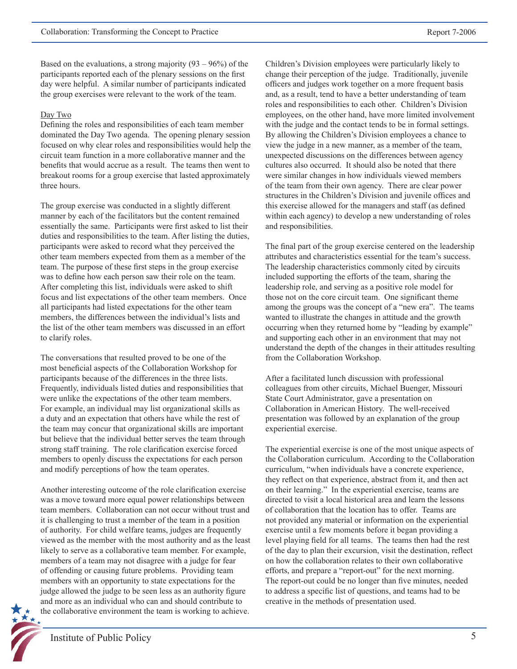Based on the evaluations, a strong majority  $(93 - 96%)$  of the participants reported each of the plenary sessions on the first day were helpful. A similar number of participants indicated the group exercises were relevant to the work of the team.

#### Day Two

Defining the roles and responsibilities of each team member dominated the Day Two agenda. The opening plenary session focused on why clear roles and responsibilities would help the circuit team function in a more collaborative manner and the benefits that would accrue as a result. The teams then went to breakout rooms for a group exercise that lasted approximately three hours.

The group exercise was conducted in a slightly different manner by each of the facilitators but the content remained essentially the same. Participants were first asked to list their duties and responsibilities to the team. After listing the duties, participants were asked to record what they perceived the other team members expected from them as a member of the team. The purpose of these first steps in the group exercise was to define how each person saw their role on the team. After completing this list, individuals were asked to shift focus and list expectations of the other team members. Once all participants had listed expectations for the other team members, the differences between the individual's lists and the list of the other team members was discussed in an effort to clarify roles.

The conversations that resulted proved to be one of the most beneficial aspects of the Collaboration Workshop for participants because of the differences in the three lists. Frequently, individuals listed duties and responsibilities that were unlike the expectations of the other team members. For example, an individual may list organizational skills as a duty and an expectation that others have while the rest of the team may concur that organizational skills are important but believe that the individual better serves the team through strong staff training. The role clarification exercise forced members to openly discuss the expectations for each person and modify perceptions of how the team operates.

Another interesting outcome of the role clarification exercise was a move toward more equal power relationships between team members. Collaboration can not occur without trust and it is challenging to trust a member of the team in a position of authority. For child welfare teams, judges are frequently viewed as the member with the most authority and as the least likely to serve as a collaborative team member. For example, members of a team may not disagree with a judge for fear of offending or causing future problems. Providing team members with an opportunity to state expectations for the judge allowed the judge to be seen less as an authority figure and more as an individual who can and should contribute to the collaborative environment the team is working to achieve.

Children's Division employees were particularly likely to change their perception of the judge. Traditionally, juvenile officers and judges work together on a more frequent basis and, as a result, tend to have a better understanding of team roles and responsibilities to each other. Children's Division employees, on the other hand, have more limited involvement with the judge and the contact tends to be in formal settings. By allowing the Children's Division employees a chance to view the judge in a new manner, as a member of the team, unexpected discussions on the differences between agency cultures also occurred. It should also be noted that there were similar changes in how individuals viewed members of the team from their own agency. There are clear power structures in the Children's Division and juvenile offices and this exercise allowed for the managers and staff (as defined within each agency) to develop a new understanding of roles and responsibilities.

The final part of the group exercise centered on the leadership attributes and characteristics essential for the team's success. The leadership characteristics commonly cited by circuits included supporting the efforts of the team, sharing the leadership role, and serving as a positive role model for those not on the core circuit team. One significant theme among the groups was the concept of a "new era". The teams wanted to illustrate the changes in attitude and the growth occurring when they returned home by "leading by example" and supporting each other in an environment that may not understand the depth of the changes in their attitudes resulting from the Collaboration Workshop.

After a facilitated lunch discussion with professional colleagues from other circuits, Michael Buenger, Missouri State Court Administrator, gave a presentation on Collaboration in American History. The well-received presentation was followed by an explanation of the group experiential exercise.

The experiential exercise is one of the most unique aspects of the Collaboration curriculum. According to the Collaboration curriculum, "when individuals have a concrete experience, they reflect on that experience, abstract from it, and then act on their learning." In the experiential exercise, teams are directed to visit a local historical area and learn the lessons of collaboration that the location has to offer. Teams are not provided any material or information on the experiential exercise until a few moments before it began providing a level playing field for all teams. The teams then had the rest of the day to plan their excursion, visit the destination, reflect on how the collaboration relates to their own collaborative efforts, and prepare a "report-out" for the next morning. The report-out could be no longer than five minutes, needed to address a specific list of questions, and teams had to be creative in the methods of presentation used.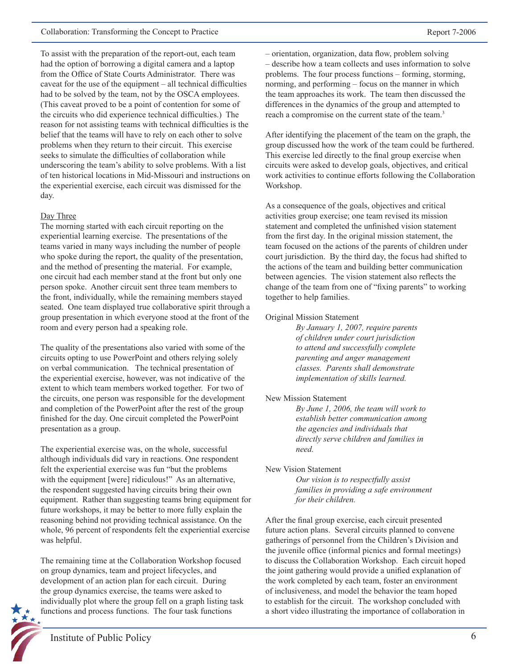To assist with the preparation of the report-out, each team had the option of borrowing a digital camera and a laptop from the Office of State Courts Administrator. There was caveat for the use of the equipment – all technical difficulties had to be solved by the team, not by the OSCA employees. (This caveat proved to be a point of contention for some of the circuits who did experience technical difficulties.) The reason for not assisting teams with technical difficulties is the belief that the teams will have to rely on each other to solve problems when they return to their circuit. This exercise seeks to simulate the difficulties of collaboration while underscoring the team's ability to solve problems. With a list of ten historical locations in Mid-Missouri and instructions on the experiential exercise, each circuit was dismissed for the day.

#### Day Three

The morning started with each circuit reporting on the experiential learning exercise. The presentations of the teams varied in many ways including the number of people who spoke during the report, the quality of the presentation, and the method of presenting the material. For example, one circuit had each member stand at the front but only one person spoke. Another circuit sent three team members to the front, individually, while the remaining members stayed seated. One team displayed true collaborative spirit through a group presentation in which everyone stood at the front of the room and every person had a speaking role.

The quality of the presentations also varied with some of the circuits opting to use PowerPoint and others relying solely on verbal communication. The technical presentation of the experiential exercise, however, was not indicative of the extent to which team members worked together. For two of the circuits, one person was responsible for the development and completion of the PowerPoint after the rest of the group finished for the day. One circuit completed the PowerPoint presentation as a group.

The experiential exercise was, on the whole, successful although individuals did vary in reactions. One respondent felt the experiential exercise was fun "but the problems with the equipment [were] ridiculous!" As an alternative, the respondent suggested having circuits bring their own equipment. Rather than suggesting teams bring equipment for future workshops, it may be better to more fully explain the reasoning behind not providing technical assistance. On the whole, 96 percent of respondents felt the experiential exercise was helpful.

The remaining time at the Collaboration Workshop focused on group dynamics, team and project lifecycles, and development of an action plan for each circuit. During the group dynamics exercise, the teams were asked to individually plot where the group fell on a graph listing task functions and process functions. The four task functions

– orientation, organization, data flow, problem solving – describe how a team collects and uses information to solve problems. The four process functions – forming, storming, norming, and performing – focus on the manner in which the team approaches its work. The team then discussed the differences in the dynamics of the group and attempted to reach a compromise on the current state of the team.<sup>3</sup>

After identifying the placement of the team on the graph, the group discussed how the work of the team could be furthered. This exercise led directly to the final group exercise when circuits were asked to develop goals, objectives, and critical work activities to continue efforts following the Collaboration Workshop.

As a consequence of the goals, objectives and critical activities group exercise; one team revised its mission statement and completed the unfinished vision statement from the first day. In the original mission statement, the team focused on the actions of the parents of children under court jurisdiction. By the third day, the focus had shifted to the actions of the team and building better communication between agencies. The vision statement also reflects the change of the team from one of "fixing parents" to working together to help families.

#### Original Mission Statement

*By January 1, 2007, require parents of children under court jurisdiction to attend and successfully complete parenting and anger management classes. Parents shall demonstrate implementation of skills learned.*

#### New Mission Statement

*By June 1, 2006, the team will work to establish better communication among the agencies and individuals that directly serve children and families in need.*

#### New Vision Statement

*Our vision is to respectfully assist families in providing a safe environment for their children.*

After the final group exercise, each circuit presented future action plans. Several circuits planned to convene gatherings of personnel from the Children's Division and the juvenile office (informal picnics and formal meetings) to discuss the Collaboration Workshop. Each circuit hoped the joint gathering would provide a unified explanation of the work completed by each team, foster an environment of inclusiveness, and model the behavior the team hoped to establish for the circuit. The workshop concluded with a short video illustrating the importance of collaboration in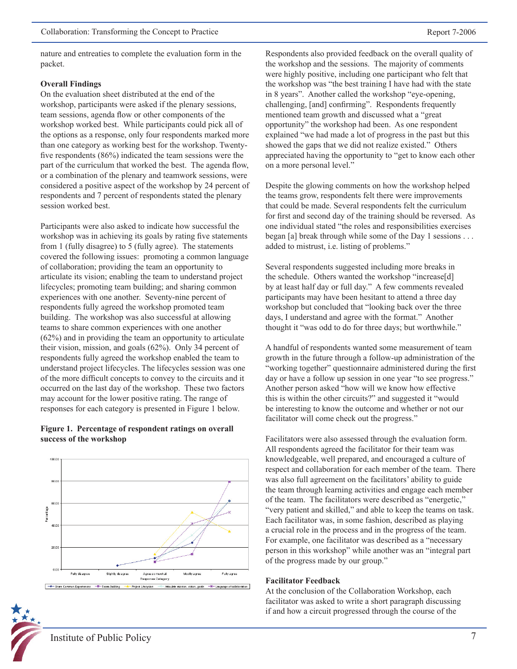nature and entreaties to complete the evaluation form in the packet.

#### **Overall Findings**

On the evaluation sheet distributed at the end of the workshop, participants were asked if the plenary sessions, team sessions, agenda flow or other components of the workshop worked best. While participants could pick all of the options as a response, only four respondents marked more than one category as working best for the workshop. Twentyfive respondents (86%) indicated the team sessions were the part of the curriculum that worked the best. The agenda flow, or a combination of the plenary and teamwork sessions, were considered a positive aspect of the workshop by 24 percent of respondents and 7 percent of respondents stated the plenary session worked best.

Participants were also asked to indicate how successful the workshop was in achieving its goals by rating five statements from 1 (fully disagree) to 5 (fully agree). The statements covered the following issues: promoting a common language of collaboration; providing the team an opportunity to articulate its vision; enabling the team to understand project lifecycles; promoting team building; and sharing common experiences with one another. Seventy-nine percent of respondents fully agreed the workshop promoted team building. The workshop was also successful at allowing teams to share common experiences with one another (62%) and in providing the team an opportunity to articulate their vision, mission, and goals (62%). Only 34 percent of respondents fully agreed the workshop enabled the team to understand project lifecycles. The lifecycles session was one of the more difficult concepts to convey to the circuits and it occurred on the last day of the workshop. These two factors may account for the lower positive rating. The range of responses for each category is presented in Figure 1 below.

#### **Figure 1. Percentage of respondent ratings on overall success of the workshop**



Respondents also provided feedback on the overall quality of the workshop and the sessions. The majority of comments were highly positive, including one participant who felt that the workshop was "the best training I have had with the state in 8 years". Another called the workshop "eye-opening, challenging, [and] confirming". Respondents frequently mentioned team growth and discussed what a "great opportunity" the workshop had been. As one respondent explained "we had made a lot of progress in the past but this showed the gaps that we did not realize existed." Others appreciated having the opportunity to "get to know each other on a more personal level."

Despite the glowing comments on how the workshop helped the teams grow, respondents felt there were improvements that could be made. Several respondents felt the curriculum for first and second day of the training should be reversed. As one individual stated "the roles and responsibilities exercises began [a] break through while some of the Day 1 sessions . . . added to mistrust, i.e. listing of problems."

Several respondents suggested including more breaks in the schedule. Others wanted the workshop "increase[d] by at least half day or full day." A few comments revealed participants may have been hesitant to attend a three day workshop but concluded that "looking back over the three days, I understand and agree with the format." Another thought it "was odd to do for three days; but worthwhile."

A handful of respondents wanted some measurement of team growth in the future through a follow-up administration of the "working together" questionnaire administered during the first day or have a follow up session in one year "to see progress." Another person asked "how will we know how effective this is within the other circuits?" and suggested it "would be interesting to know the outcome and whether or not our facilitator will come check out the progress."

Facilitators were also assessed through the evaluation form. All respondents agreed the facilitator for their team was knowledgeable, well prepared, and encouraged a culture of respect and collaboration for each member of the team. There was also full agreement on the facilitators' ability to guide the team through learning activities and engage each member of the team. The facilitators were described as "energetic," "very patient and skilled," and able to keep the teams on task. Each facilitator was, in some fashion, described as playing a crucial role in the process and in the progress of the team. For example, one facilitator was described as a "necessary person in this workshop" while another was an "integral part of the progress made by our group."

#### **Facilitator Feedback**

At the conclusion of the Collaboration Workshop, each facilitator was asked to write a short paragraph discussing if and how a circuit progressed through the course of the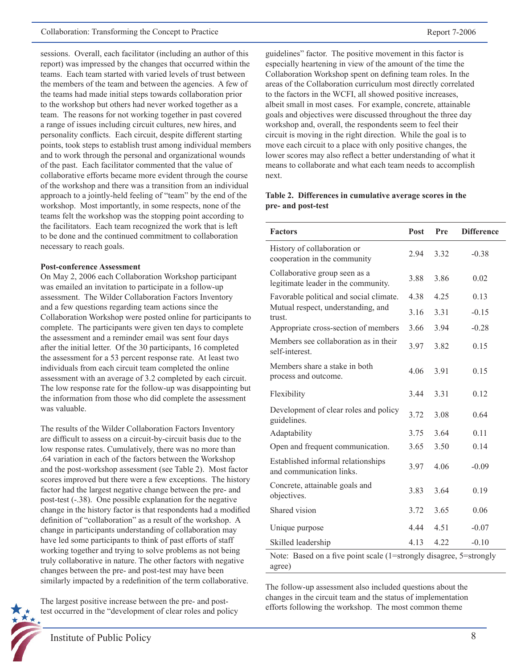sessions. Overall, each facilitator (including an author of this report) was impressed by the changes that occurred within the teams. Each team started with varied levels of trust between the members of the team and between the agencies. A few of the teams had made initial steps towards collaboration prior to the workshop but others had never worked together as a team. The reasons for not working together in past covered a range of issues including circuit cultures, new hires, and personality conflicts. Each circuit, despite different starting points, took steps to establish trust among individual members and to work through the personal and organizational wounds of the past. Each facilitator commented that the value of collaborative efforts became more evident through the course of the workshop and there was a transition from an individual approach to a jointly-held feeling of "team" by the end of the workshop. Most importantly, in some respects, none of the teams felt the workshop was the stopping point according to the facilitators. Each team recognized the work that is left to be done and the continued commitment to collaboration necessary to reach goals.

#### **Post-conference Assessment**

On May 2, 2006 each Collaboration Workshop participant was emailed an invitation to participate in a follow-up assessment. The Wilder Collaboration Factors Inventory and a few questions regarding team actions since the Collaboration Workshop were posted online for participants to complete. The participants were given ten days to complete the assessment and a reminder email was sent four days after the initial letter. Of the 30 participants, 16 completed the assessment for a 53 percent response rate. At least two individuals from each circuit team completed the online assessment with an average of 3.2 completed by each circuit. The low response rate for the follow-up was disappointing but the information from those who did complete the assessment was valuable.

The results of the Wilder Collaboration Factors Inventory are difficult to assess on a circuit-by-circuit basis due to the low response rates. Cumulatively, there was no more than .64 variation in each of the factors between the Workshop and the post-workshop assessment (see Table 2). Most factor scores improved but there were a few exceptions. The history factor had the largest negative change between the pre- and post-test (-.38). One possible explanation for the negative change in the history factor is that respondents had a modified definition of "collaboration" as a result of the workshop. A change in participants understanding of collaboration may have led some participants to think of past efforts of staff working together and trying to solve problems as not being truly collaborative in nature. The other factors with negative changes between the pre- and post-test may have been similarly impacted by a redefinition of the term collaborative.

The largest positive increase between the pre- and posttest occurred in the "development of clear roles and policy guidelines" factor. The positive movement in this factor is especially heartening in view of the amount of the time the Collaboration Workshop spent on defining team roles. In the areas of the Collaboration curriculum most directly correlated to the factors in the WCFI, all showed positive increases, albeit small in most cases. For example, concrete, attainable goals and objectives were discussed throughout the three day workshop and, overall, the respondents seem to feel their circuit is moving in the right direction. While the goal is to move each circuit to a place with only positive changes, the lower scores may also reflect a better understanding of what it means to collaborate and what each team needs to accomplish next.

#### **Table 2. Differences in cumulative average scores in the pre- and post-test**

| <b>Factors</b>                                                       | Post | Pre  | <b>Difference</b> |  |
|----------------------------------------------------------------------|------|------|-------------------|--|
| History of collaboration or<br>cooperation in the community          | 2.94 | 3.32 | $-0.38$           |  |
| Collaborative group seen as a<br>legitimate leader in the community. | 3.88 | 3.86 | 0.02              |  |
| Favorable political and social climate.                              | 4.38 | 4.25 | 0.13              |  |
| Mutual respect, understanding, and<br>trust.                         | 3.16 | 3.31 | $-0.15$           |  |
| Appropriate cross-section of members                                 | 3.66 | 3.94 | $-0.28$           |  |
| Members see collaboration as in their<br>self-interest.              | 3.97 | 3.82 | 0.15              |  |
| Members share a stake in both<br>process and outcome.                | 4.06 | 3.91 | 0.15              |  |
| Flexibility                                                          | 3.44 | 3.31 | 0.12              |  |
| Development of clear roles and policy<br>guidelines.                 | 3.72 | 3.08 | 0.64              |  |
| Adaptability                                                         | 3.75 | 3.64 | 0.11              |  |
| Open and frequent communication.                                     | 3.65 | 3.50 | 0.14              |  |
| Established informal relationships<br>and communication links.       | 3.97 | 4.06 | $-0.09$           |  |
| Concrete, attainable goals and<br>objectives.                        | 3.83 | 3.64 | 0.19              |  |
| Shared vision                                                        | 3.72 | 3.65 | 0.06              |  |
| Unique purpose                                                       | 4.44 | 4.51 | $-0.07$           |  |
| Skilled leadership                                                   | 4.13 | 4.22 | $-0.10$           |  |
| Note: Based on a five point scale (1=strongly disagree, 5=strongly   |      |      |                   |  |

agree)

The follow-up assessment also included questions about the changes in the circuit team and the status of implementation efforts following the workshop. The most common theme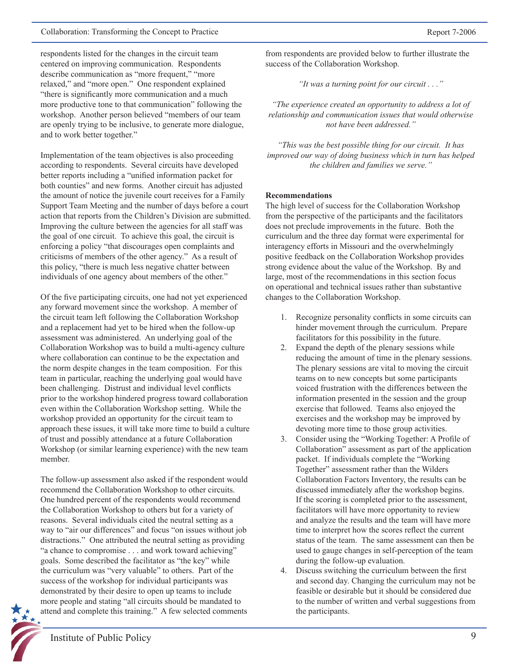respondents listed for the changes in the circuit team centered on improving communication. Respondents describe communication as "more frequent," "more relaxed," and "more open." One respondent explained "there is significantly more communication and a much more productive tone to that communication" following the workshop. Another person believed "members of our team are openly trying to be inclusive, to generate more dialogue, and to work better together."

Implementation of the team objectives is also proceeding according to respondents. Several circuits have developed better reports including a "unified information packet for both counties" and new forms. Another circuit has adjusted the amount of notice the juvenile court receives for a Family Support Team Meeting and the number of days before a court action that reports from the Children's Division are submitted. Improving the culture between the agencies for all staff was the goal of one circuit. To achieve this goal, the circuit is enforcing a policy "that discourages open complaints and criticisms of members of the other agency." As a result of this policy, "there is much less negative chatter between individuals of one agency about members of the other."

Of the five participating circuits, one had not yet experienced any forward movement since the workshop. A member of the circuit team left following the Collaboration Workshop and a replacement had yet to be hired when the follow-up assessment was administered. An underlying goal of the Collaboration Workshop was to build a multi-agency culture where collaboration can continue to be the expectation and the norm despite changes in the team composition. For this team in particular, reaching the underlying goal would have been challenging. Distrust and individual level conflicts prior to the workshop hindered progress toward collaboration even within the Collaboration Workshop setting. While the workshop provided an opportunity for the circuit team to approach these issues, it will take more time to build a culture of trust and possibly attendance at a future Collaboration Workshop (or similar learning experience) with the new team member.

The follow-up assessment also asked if the respondent would recommend the Collaboration Workshop to other circuits. One hundred percent of the respondents would recommend the Collaboration Workshop to others but for a variety of reasons. Several individuals cited the neutral setting as a way to "air our differences" and focus "on issues without job distractions." One attributed the neutral setting as providing "a chance to compromise . . . and work toward achieving" goals. Some described the facilitator as "the key" while the curriculum was "very valuable" to others. Part of the success of the workshop for individual participants was demonstrated by their desire to open up teams to include more people and stating "all circuits should be mandated to attend and complete this training." A few selected comments

from respondents are provided below to further illustrate the success of the Collaboration Workshop.

*"It was a turning point for our circuit . . ."*

*"The experience created an opportunity to address a lot of relationship and communication issues that would otherwise not have been addressed."*

*"This was the best possible thing for our circuit. It has improved our way of doing business which in turn has helped the children and families we serve."*

#### **Recommendations**

The high level of success for the Collaboration Workshop from the perspective of the participants and the facilitators does not preclude improvements in the future. Both the curriculum and the three day format were experimental for interagency efforts in Missouri and the overwhelmingly positive feedback on the Collaboration Workshop provides strong evidence about the value of the Workshop. By and large, most of the recommendations in this section focus on operational and technical issues rather than substantive changes to the Collaboration Workshop.

- 1. Recognize personality conflicts in some circuits can hinder movement through the curriculum. Prepare facilitators for this possibility in the future.
- 2. Expand the depth of the plenary sessions while reducing the amount of time in the plenary sessions. The plenary sessions are vital to moving the circuit teams on to new concepts but some participants voiced frustration with the differences between the information presented in the session and the group exercise that followed. Teams also enjoyed the exercises and the workshop may be improved by devoting more time to those group activities.
- 3. Consider using the "Working Together: A Profile of Collaboration" assessment as part of the application packet. If individuals complete the "Working Together" assessment rather than the Wilders Collaboration Factors Inventory, the results can be discussed immediately after the workshop begins. If the scoring is completed prior to the assessment, facilitators will have more opportunity to review and analyze the results and the team will have more time to interpret how the scores reflect the current status of the team. The same assessment can then be used to gauge changes in self-perception of the team during the follow-up evaluation.
- 4. Discuss switching the curriculum between the first and second day. Changing the curriculum may not be feasible or desirable but it should be considered due to the number of written and verbal suggestions from the participants.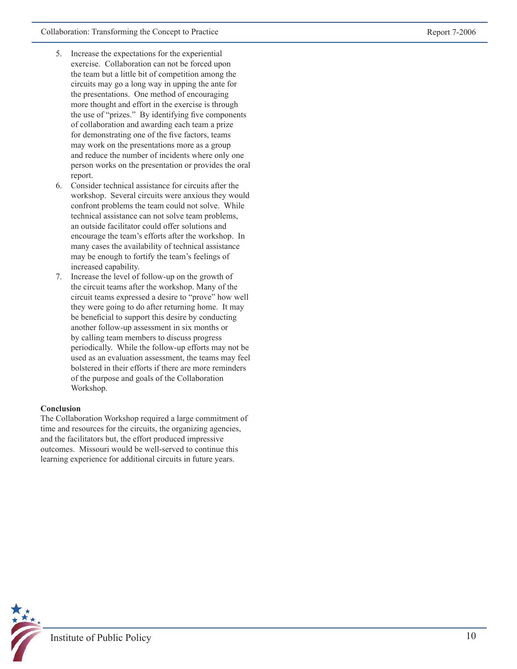- 5. Increase the expectations for the experiential exercise. Collaboration can not be forced upon the team but a little bit of competition among the circuits may go a long way in upping the ante for the presentations. One method of encouraging more thought and effort in the exercise is through the use of "prizes." By identifying five components of collaboration and awarding each team a prize for demonstrating one of the five factors, teams may work on the presentations more as a group and reduce the number of incidents where only one person works on the presentation or provides the oral report.
- 6. Consider technical assistance for circuits after the workshop. Several circuits were anxious they would confront problems the team could not solve. While technical assistance can not solve team problems, an outside facilitator could offer solutions and encourage the team's efforts after the workshop. In many cases the availability of technical assistance may be enough to fortify the team's feelings of increased capability.
- 7. Increase the level of follow-up on the growth of the circuit teams after the workshop. Many of the circuit teams expressed a desire to "prove" how well they were going to do after returning home. It may be beneficial to support this desire by conducting another follow-up assessment in six months or by calling team members to discuss progress periodically. While the follow-up efforts may not be used as an evaluation assessment, the teams may feel bolstered in their efforts if there are more reminders of the purpose and goals of the Collaboration Workshop.

#### **Conclusion**

The Collaboration Workshop required a large commitment of time and resources for the circuits, the organizing agencies, and the facilitators but, the effort produced impressive outcomes. Missouri would be well-served to continue this learning experience for additional circuits in future years.

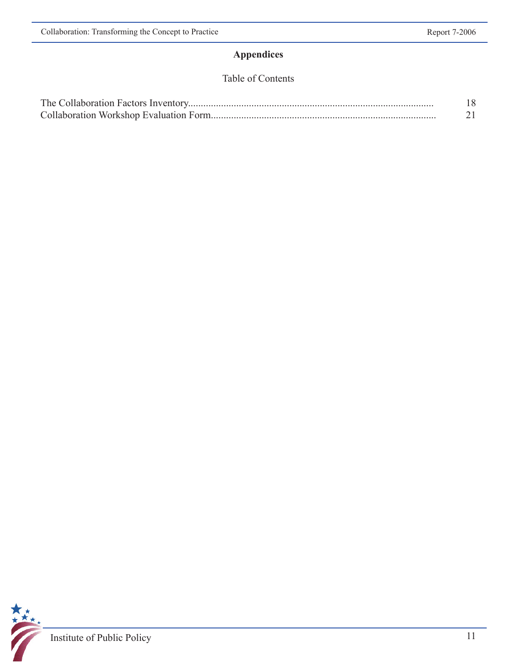## **Appendices**

## Table of Contents

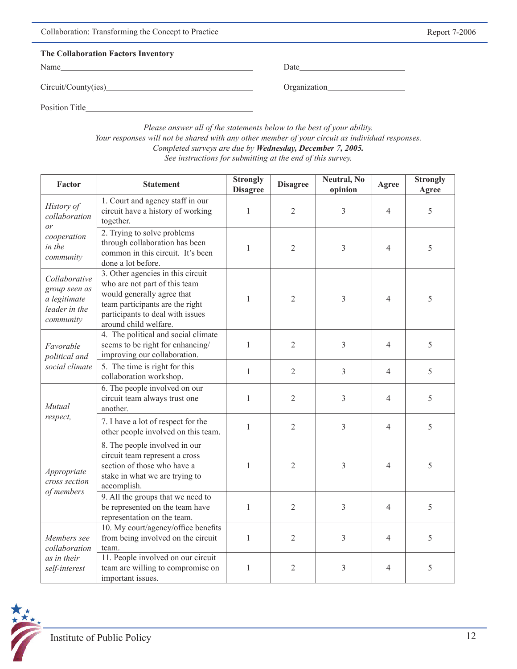| Collaboration: Transforming the Concept to Practice |      |  |
|-----------------------------------------------------|------|--|
| The Collaboration Factors Inventory                 |      |  |
| Name                                                | Date |  |

Circuit/County(ies) Organization

Position Title

*Please answer all of the statements below to the best of your ability. Your responses will not be shared with any other member of your circuit as individual responses. Completed surveys are due by Wednesday, December 7, 2005. See instructions for submitting at the end of this survey.*

| Factor                                                                       | <b>Statement</b>                                                                                                                                                                                 | <b>Strongly</b><br><b>Disagree</b> | <b>Disagree</b> | Neutral, No<br>opinion | Agree          | <b>Strongly</b><br>Agree |
|------------------------------------------------------------------------------|--------------------------------------------------------------------------------------------------------------------------------------------------------------------------------------------------|------------------------------------|-----------------|------------------------|----------------|--------------------------|
| History of<br>collaboration<br>or                                            | 1. Court and agency staff in our<br>circuit have a history of working<br>together.                                                                                                               | $\mathbf{1}$                       | $\overline{2}$  | 3                      | $\overline{4}$ | 5                        |
| cooperation<br>in the<br>community                                           | 2. Trying to solve problems<br>through collaboration has been<br>common in this circuit. It's been<br>done a lot before.                                                                         | $\mathbf{1}$                       | $\overline{2}$  | 3                      | $\overline{4}$ | 5                        |
| Collaborative<br>group seen as<br>a legitimate<br>leader in the<br>community | 3. Other agencies in this circuit<br>who are not part of this team<br>would generally agree that<br>team participants are the right<br>participants to deal with issues<br>around child welfare. | $\mathbf{1}$                       | $\overline{2}$  | 3                      | $\overline{4}$ | 5                        |
| Favorable<br>political and                                                   | 4. The political and social climate<br>seems to be right for enhancing/<br>improving our collaboration.                                                                                          | $\mathbf{1}$                       | $\mathfrak{2}$  | 3                      | $\overline{4}$ | 5                        |
| social climate                                                               | 5. The time is right for this<br>collaboration workshop.                                                                                                                                         | $\mathbf{1}$                       | $\overline{2}$  | $\overline{3}$         | $\overline{4}$ | 5                        |
| Mutual                                                                       | 6. The people involved on our<br>circuit team always trust one<br>another.                                                                                                                       | $\mathbf{1}$                       | $\overline{2}$  | 3                      | $\overline{4}$ | 5                        |
| respect,                                                                     | 7. I have a lot of respect for the<br>other people involved on this team.                                                                                                                        | $\mathbf{1}$                       | $\overline{2}$  | $\overline{3}$         | $\overline{4}$ | 5                        |
| Appropriate<br>cross section<br>of members                                   | 8. The people involved in our<br>circuit team represent a cross<br>section of those who have a<br>stake in what we are trying to<br>accomplish.                                                  | $\mathbf{1}$                       | $\overline{2}$  | 3                      | $\overline{4}$ | 5                        |
|                                                                              | 9. All the groups that we need to<br>be represented on the team have<br>representation on the team.                                                                                              | $\mathbf{1}$                       | $\overline{2}$  | 3                      | $\overline{4}$ | 5                        |
| Members see<br>collaboration                                                 | 10. My court/agency/office benefits<br>from being involved on the circuit<br>team.                                                                                                               | $\mathbf{1}$                       | $\overline{2}$  | 3                      | 4              | 5                        |
| as in their<br>self-interest                                                 | 11. People involved on our circuit<br>team are willing to compromise on<br>important issues.                                                                                                     | $\mathbf{1}$                       | $\overline{2}$  | 3                      | 4              | 5                        |

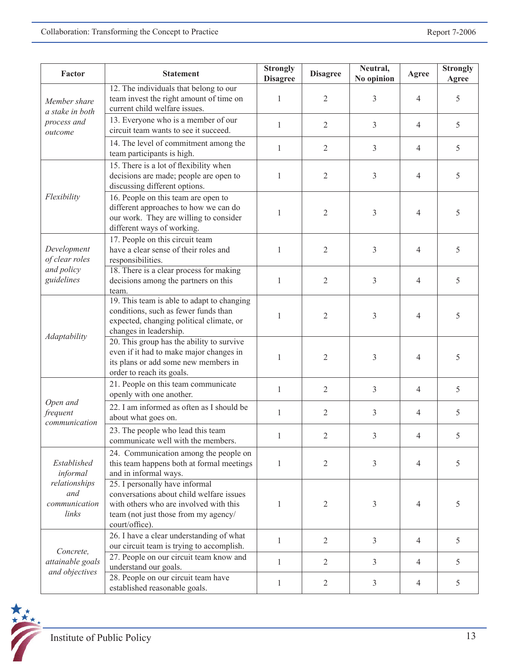| Factor                                                                    | <b>Statement</b>                                                                                                                                                               | <b>Strongly</b><br><b>Disagree</b> | <b>Disagree</b> | Neutral,<br>No opinion | Agree          | Strongly<br>Agree |
|---------------------------------------------------------------------------|--------------------------------------------------------------------------------------------------------------------------------------------------------------------------------|------------------------------------|-----------------|------------------------|----------------|-------------------|
| Member share<br>a stake in both                                           | 12. The individuals that belong to our<br>team invest the right amount of time on<br>current child welfare issues.                                                             | $\mathbf{1}$                       | $\overline{2}$  | 3                      | 4              | 5                 |
| process and<br>outcome                                                    | 13. Everyone who is a member of our<br>circuit team wants to see it succeed.                                                                                                   | $\mathbf{1}$                       | $\overline{2}$  | 3                      | 4              | 5                 |
|                                                                           | 14. The level of commitment among the<br>team participants is high.                                                                                                            | $\mathbf{1}$                       | $\overline{2}$  | 3                      | $\overline{4}$ | 5                 |
|                                                                           | 15. There is a lot of flexibility when<br>decisions are made; people are open to<br>discussing different options.                                                              | $\mathbf{1}$                       | $\overline{2}$  | 3                      | 4              | 5                 |
| Flexibility                                                               | 16. People on this team are open to<br>different approaches to how we can do<br>our work. They are willing to consider<br>different ways of working.                           | $\mathbf{1}$                       | $\overline{2}$  | 3                      | $\overline{4}$ | 5                 |
| Development<br>of clear roles                                             | 17. People on this circuit team<br>have a clear sense of their roles and<br>responsibilities.                                                                                  | 1                                  | $\overline{2}$  | 3                      | 4              | 5                 |
| and policy<br>guidelines                                                  | 18. There is a clear process for making<br>decisions among the partners on this<br>team.                                                                                       | $\mathbf{1}$                       | $\overline{2}$  | 3                      | $\overline{4}$ | 5                 |
|                                                                           | 19. This team is able to adapt to changing<br>conditions, such as fewer funds than<br>expected, changing political climate, or<br>changes in leadership.                       | 1                                  | $\overline{2}$  | 3                      | 4              | 5                 |
| Adaptability                                                              | 20. This group has the ability to survive<br>even if it had to make major changes in<br>its plans or add some new members in<br>order to reach its goals.                      | 1                                  | $\overline{2}$  | 3                      | $\overline{4}$ | 5                 |
|                                                                           | 21. People on this team communicate<br>openly with one another.                                                                                                                | $\mathbf{1}$                       | $\overline{2}$  | 3                      | $\overline{4}$ | 5                 |
| Open and<br>frequent<br>communication                                     | 22. I am informed as often as I should be<br>about what goes on.                                                                                                               | $\mathbf{1}$                       | $\overline{2}$  | 3                      | $\overline{4}$ | 5                 |
|                                                                           | 23. The people who lead this team<br>communicate well with the members.                                                                                                        | $\mathbf{1}$                       | $\overline{2}$  | 3                      | 4              | 5                 |
| Established<br>informal<br>relationships<br>and<br>communication<br>links | 24. Communication among the people on<br>this team happens both at formal meetings<br>and in informal ways.                                                                    | $\mathbf{1}$                       | $\overline{2}$  | 3                      | $\overline{4}$ | 5                 |
|                                                                           | 25. I personally have informal<br>conversations about child welfare issues<br>with others who are involved with this<br>team (not just those from my agency/<br>court/office). | $\mathbf{1}$                       | $\overline{2}$  | 3                      | 4              | 5                 |
| Concrete,                                                                 | 26. I have a clear understanding of what<br>our circuit team is trying to accomplish.                                                                                          | 1                                  | 2               | 3                      | $\overline{4}$ | 5                 |
| attainable goals                                                          | 27. People on our circuit team know and<br>understand our goals.                                                                                                               | 1                                  | $\overline{2}$  | 3                      | $\overline{4}$ | 5                 |
| and objectives                                                            | 28. People on our circuit team have<br>established reasonable goals.                                                                                                           | 1                                  | $\overline{2}$  | $\overline{3}$         | $\overline{4}$ | 5                 |

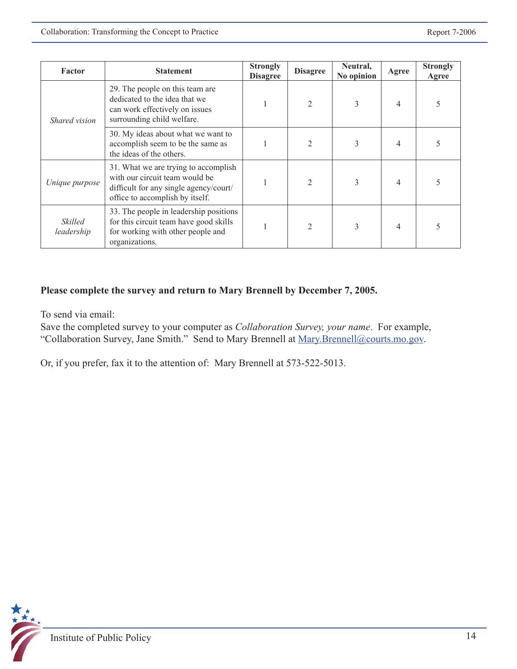| Factor                              | <b>Statement</b>                                                                                                                                    | <b>Strongly</b><br><b>Disagree</b> | <b>Disagree</b> | Neutral,<br>No opinion | Agree          | <b>Strongly</b><br>Agree |
|-------------------------------------|-----------------------------------------------------------------------------------------------------------------------------------------------------|------------------------------------|-----------------|------------------------|----------------|--------------------------|
| Shared vision                       | 29. The people on this team are<br>dedicated to the idea that we<br>can work effectively on issues<br>surrounding child welfare.                    |                                    | 2               | 3                      | 4              | 5                        |
|                                     | 30. My ideas about what we want to<br>accomplish seem to be the same as<br>the ideas of the others.                                                 |                                    |                 | 3                      | $\overline{4}$ |                          |
| Unique purpose                      | 31. What we are trying to accomplish<br>with our circuit team would be<br>difficult for any single agency/court/<br>office to accomplish by itself. |                                    |                 | 3                      | 4              |                          |
| <i><b>Skilled</b></i><br>leadership | 33. The people in leadership positions<br>for this circuit team have good skills<br>for working with other people and<br>organizations.             |                                    | 2               | 3                      | $\overline{4}$ | 5                        |

### **Please complete the survey and return to Mary Brennell by December 7, 2005.**

To send via email:

Save the completed survey to your computer as *Collaboration Survey, your name*. For example, "Collaboration Survey, Jane Smith." Send to Mary Brennell at Mary.Brennell@courts.mo.gov.

Or, if you prefer, fax it to the attention of: Mary Brennell at 573-522-5013.

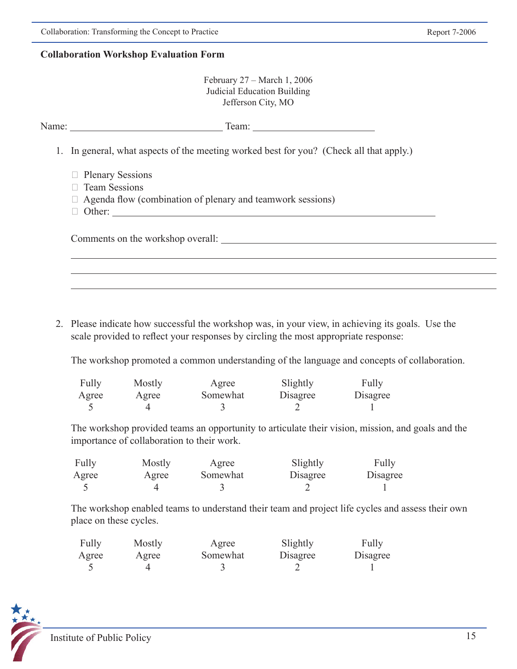#### **Collaboration Workshop Evaluation Form**

| February $27 - March 1$ , 2006 |
|--------------------------------|
| Judicial Education Building    |
| Jefferson City, MO             |

| Name: $\frac{1}{\sqrt{1-\frac{1}{2}} \cdot \frac{1}{2}}$<br>Team: $\frac{1}{\sqrt{1-\frac{1}{2}} \cdot \frac{1}{2}}$ |
|----------------------------------------------------------------------------------------------------------------------|
| 1. In general, what aspects of the meeting worked best for you? (Check all that apply.)                              |
| $\Box$ Plenary Sessions<br>$\Box$ Team Sessions<br>$\Box$ Agenda flow (combination of plenary and teamwork sessions) |
| Comments on the workshop overall:                                                                                    |
|                                                                                                                      |

2. Please indicate how successful the workshop was, in your view, in achieving its goals. Use the scale provided to reflect your responses by circling the most appropriate response:

The workshop promoted a common understanding of the language and concepts of collaboration.

| Fully | Mostly | Agree    | Slightly | Fully    |
|-------|--------|----------|----------|----------|
| Agree | Agree  | Somewhat | Disagree | Disagree |
|       |        |          |          |          |

 The workshop provided teams an opportunity to articulate their vision, mission, and goals and the importance of collaboration to their work.

| Fully | Mostly | Agree    | Slightly | Fully    |
|-------|--------|----------|----------|----------|
| Agree | Agree  | Somewhat | Disagree | Disagree |
|       |        |          |          |          |

 The workshop enabled teams to understand their team and project life cycles and assess their own place on these cycles.

| Fully | Mostly | Agree    | Slightly | Fully    |
|-------|--------|----------|----------|----------|
| Agree | Agree  | Somewhat | Disagree | Disagree |
|       |        |          |          |          |

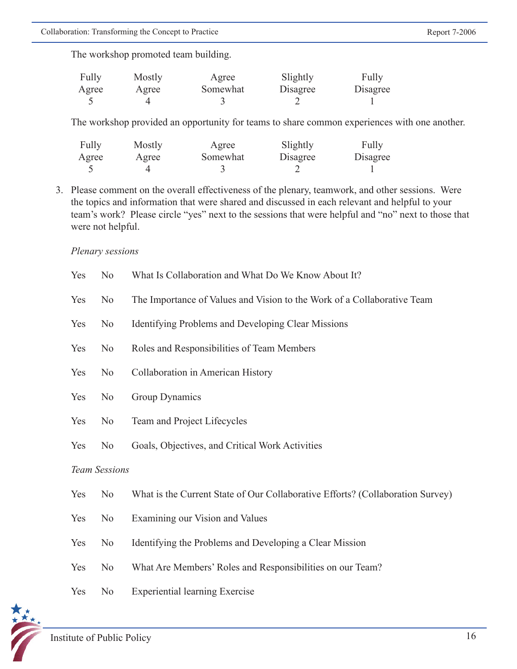The workshop promoted team building.

| Fully | Mostly | Agree    | Slightly | Fully    |
|-------|--------|----------|----------|----------|
| Agree | Agree  | Somewhat | Disagree | Disagree |
|       |        |          |          |          |

The workshop provided an opportunity for teams to share common experiences with one another.

| Fully | Mostly | Agree    | Slightly | Fully    |
|-------|--------|----------|----------|----------|
| Agree | Agree  | Somewhat | Disagree | Disagree |
|       |        |          |          |          |

3. Please comment on the overall effectiveness of the plenary, teamwork, and other sessions. Were the topics and information that were shared and discussed in each relevant and helpful to your team's work? Please circle "yes" next to the sessions that were helpful and "no" next to those that were not helpful.

#### *Plenary sessions*

| Yes                  | N <sub>0</sub> | What Is Collaboration and What Do We Know About It?                            |
|----------------------|----------------|--------------------------------------------------------------------------------|
| Yes                  | No             | The Importance of Values and Vision to the Work of a Collaborative Team        |
| Yes                  | N <sub>0</sub> | Identifying Problems and Developing Clear Missions                             |
| Yes                  | N <sub>o</sub> | Roles and Responsibilities of Team Members                                     |
| Yes                  | N <sub>o</sub> | Collaboration in American History                                              |
| Yes                  | N <sub>0</sub> | Group Dynamics                                                                 |
| Yes                  | N <sub>0</sub> | Team and Project Lifecycles                                                    |
| Yes                  | N <sub>0</sub> | Goals, Objectives, and Critical Work Activities                                |
| <b>Team Sessions</b> |                |                                                                                |
| Yes                  | N <sub>0</sub> | What is the Current State of Our Collaborative Efforts? (Collaboration Survey) |
| Yes                  | N <sub>o</sub> | Examining our Vision and Values                                                |
| Yes                  | N <sub>0</sub> | Identifying the Problems and Developing a Clear Mission                        |
| Yes                  | No             | What Are Members' Roles and Responsibilities on our Team?                      |
| Yes                  | N <sub>0</sub> | <b>Experiential learning Exercise</b>                                          |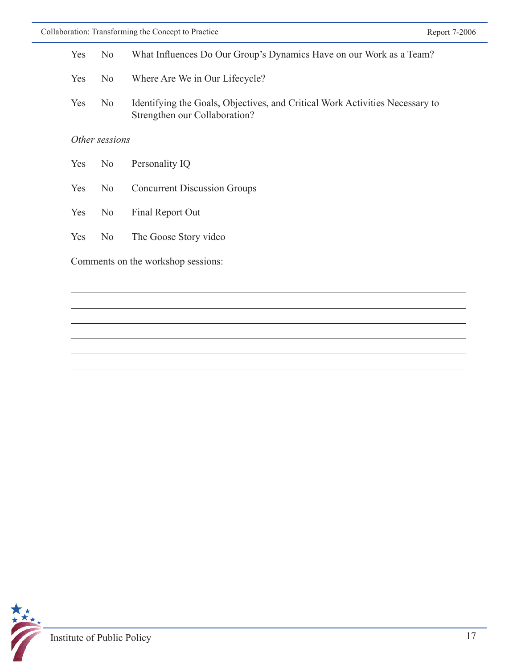| <b>Yes</b>                         | N <sub>0</sub> | What Influences Do Our Group's Dynamics Have on our Work as a Team?                                           |  |  |
|------------------------------------|----------------|---------------------------------------------------------------------------------------------------------------|--|--|
| Yes                                | N <sub>0</sub> | Where Are We in Our Lifecycle?                                                                                |  |  |
| <b>Yes</b>                         | N <sub>0</sub> | Identifying the Goals, Objectives, and Critical Work Activities Necessary to<br>Strengthen our Collaboration? |  |  |
| Other sessions                     |                |                                                                                                               |  |  |
| <b>Yes</b>                         | N <sub>0</sub> | Personality IQ                                                                                                |  |  |
| Yes                                | No             | <b>Concurrent Discussion Groups</b>                                                                           |  |  |
| <b>Yes</b>                         | N <sub>0</sub> | Final Report Out                                                                                              |  |  |
| Yes                                | N <sub>o</sub> | The Goose Story video                                                                                         |  |  |
| Comments on the workshop sessions: |                |                                                                                                               |  |  |



 $\overline{a}$